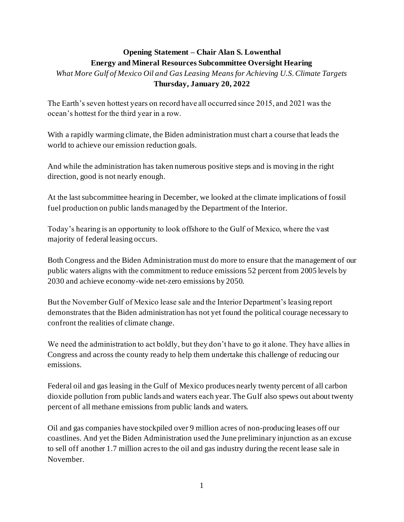## **Opening Statement – Chair Alan S. Lowenthal Energy and Mineral Resources Subcommittee Oversight Hearing**

*What More Gulf of Mexico Oil and Gas Leasing Means for Achieving U.S. Climate Targets* **Thursday, January 20, 2022**

The Earth's seven hottest years on record have all occurred since 2015, and 2021 was the ocean's hottest for the third year in a row.

With a rapidly warming climate, the Biden administration must chart a course that leads the world to achieve our emission reduction goals.

And while the administration has taken numerous positive steps and is moving in the right direction, good is not nearly enough.

At the last subcommittee hearing in December, we looked at the climate implications of fossil fuel production on public lands managed by the Department of the Interior.

Today's hearing is an opportunity to look offshore to the Gulf of Mexico, where the vast majority of federal leasing occurs.

Both Congress and the Biden Administration must do more to ensure that the management of our public waters aligns with the commitment to reduce emissions 52 percent from 2005 levels by 2030 and achieve economy-wide net-zero emissions by 2050.

But the November Gulf of Mexico lease sale and the Interior Department's leasing report demonstrates that the Biden administration has not yet found the political courage necessary to confront the realities of climate change.

We need the administration to act boldly, but they don't have to go it alone. They have allies in Congress and across the county ready to help them undertake this challenge of reducing our emissions.

Federal oil and gas leasing in the Gulf of Mexico produces nearly twenty percent of all carbon dioxide pollution from public lands and waters each year. The Gulf also spews out about twenty percent of all methane emissions from public lands and waters.

Oil and gas companies have stockpiled over 9 million acres of non-producing leases off our coastlines. And yet the Biden Administration used the June preliminary injunction as an excuse to sell off another 1.7 million acres to the oil and gas industry during the recent lease sale in November.